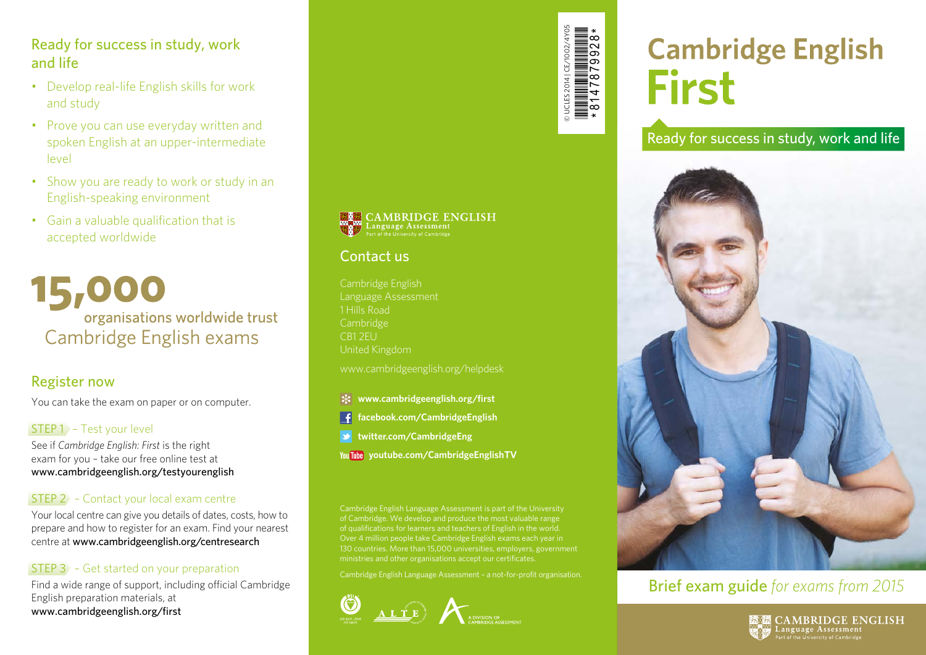#### Ready for success in study, work and life

- Develop real-life English skills for work and study
- Prove you can use everyday written and spoken English at an upper-intermediate level
- Show you are ready to work or study in an English-speaking environment
- Gain a valuable qualification that is accepted worldwide

15,000 organisations worldwide trust Cambridge English exams

#### Register now

You can take the exam on paper or on computer.

#### STEP 1 – Test your level

See if *Cambridge English: First* is the right exam for you – take our free online test at www.cambridgeenglish.org/testyourenglish

#### STEP 2 – Contact your local exam centre

Your local centre can give you details of dates, costs, how to prepare and how to register for an exam. Find your nearest centre at www.cambridgeenglish.org/centresearch

#### STEP 3 – Get started on your preparation

Find a wide range of support, including official Cambridge English preparation materials, at www.cambridgeenglish.org/first



# **Cambridge English First**

Ready for success in study, work and life



# Brief exam guide *for exams from 2015*



**KAN CAMBRIDGE ENGLISH** 

# Contact us

Cambridge English Language Assessment 1 Hills Road Cambridge United Kingdom

www.cambridgeenglish.org/helpdesk

- **www.cambridgeenglish.org/first**
- **facebook.com/CambridgeEnglish**
- **twitter.com/CambridgeEng**
- **youtube.com/CambridgeEnglishTV**

Cambridge English Language Assessment is part of the University of Cambridge. We develop and produce the most valuable range of qualifications for learners and teachers of English in the world. Over 4 million people take Cambridge English exams each year in 130 countries. More than 15,000 universities, employers, government ministries and other organisations accept our certificates.

Cambridge English Language Assessment – a not-for-profit organisation.